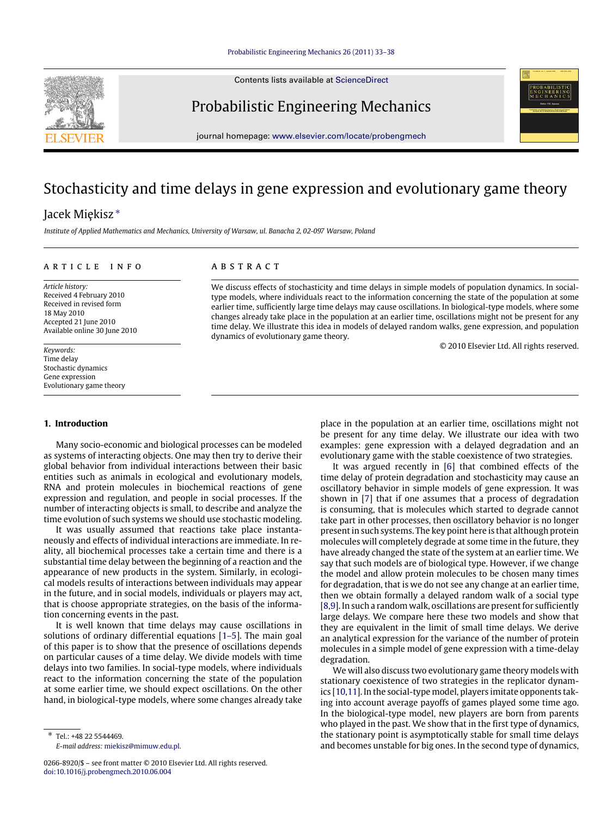Contents lists available at [ScienceDirect](http://www.elsevier.com/locate/probengmech)

## Probabilistic Engineering Mechanics

journal homepage: [www.elsevier.com/locate/probengmech](http://www.elsevier.com/locate/probengmech)

## Stochasticity and time delays in gene expression and evolutionary game theory

### Jacek Miękisz\*

*Institute of Applied Mathematics and Mechanics, University of Warsaw, ul. Banacha 2, 02-097 Warsaw, Poland*

#### a r t i c l e i n f o

*Article history:* Received 4 February 2010 Received in revised form 18 May 2010 Accepted 21 June 2010 Available online 30 June 2010

*Keywords:* Time delay Stochastic dynamics Gene expression Evolutionary game theory

#### **1. Introduction**

Many socio-economic and biological processes can be modeled as systems of interacting objects. One may then try to derive their global behavior from individual interactions between their basic entities such as animals in ecological and evolutionary models, RNA and protein molecules in biochemical reactions of gene expression and regulation, and people in social processes. If the number of interacting objects is small, to describe and analyze the time evolution of such systems we should use stochastic modeling.

It was usually assumed that reactions take place instantaneously and effects of individual interactions are immediate. In reality, all biochemical processes take a certain time and there is a substantial time delay between the beginning of a reaction and the appearance of new products in the system. Similarly, in ecological models results of interactions between individuals may appear in the future, and in social models, individuals or players may act, that is choose appropriate strategies, on the basis of the information concerning events in the past.

It is well known that time delays may cause oscillations in solutions of ordinary differential equations [\[1–5\]](#page--1-0). The main goal of this paper is to show that the presence of oscillations depends on particular causes of a time delay. We divide models with time delays into two families. In social-type models, where individuals react to the information concerning the state of the population at some earlier time, we should expect oscillations. On the other hand, in biological-type models, where some changes already take

<span id="page-0-0"></span>∗ Tel.: +48 22 5544469.

*E-mail address:* [miekisz@mimuw.edu.pl.](mailto:miekisz@mimuw.edu.pl)

### A B S T R A C T

We discuss effects of stochasticity and time delays in simple models of population dynamics. In socialtype models, where individuals react to the information concerning the state of the population at some earlier time, sufficiently large time delays may cause oscillations. In biological-type models, where some changes already take place in the population at an earlier time, oscillations might not be present for any time delay. We illustrate this idea in models of delayed random walks, gene expression, and population dynamics of evolutionary game theory.

© 2010 Elsevier Ltd. All rights reserved.

place in the population at an earlier time, oscillations might not be present for any time delay. We illustrate our idea with two examples: gene expression with a delayed degradation and an evolutionary game with the stable coexistence of two strategies.

It was argued recently in [\[6\]](#page--1-1) that combined effects of the time delay of protein degradation and stochasticity may cause an oscillatory behavior in simple models of gene expression. It was shown in [\[7\]](#page--1-2) that if one assumes that a process of degradation is consuming, that is molecules which started to degrade cannot take part in other processes, then oscillatory behavior is no longer present in such systems. The key point here is that although protein molecules will completely degrade at some time in the future, they have already changed the state of the system at an earlier time. We say that such models are of biological type. However, if we change the model and allow protein molecules to be chosen many times for degradation, that is we do not see any change at an earlier time, then we obtain formally a delayed random walk of a social type [\[8](#page--1-3)[,9\]](#page--1-4). In such a random walk, oscillations are present for sufficiently large delays. We compare here these two models and show that they are equivalent in the limit of small time delays. We derive an analytical expression for the variance of the number of protein molecules in a simple model of gene expression with a time-delay degradation.

We will also discuss two evolutionary game theory models with stationary coexistence of two strategies in the replicator dynamics [\[10,](#page--1-5)[11\]](#page--1-6). In the social-type model, players imitate opponents taking into account average payoffs of games played some time ago. In the biological-type model, new players are born from parents who played in the past. We show that in the first type of dynamics, the stationary point is asymptotically stable for small time delays and becomes unstable for big ones. In the second type of dynamics,



<sup>0266-8920/\$ –</sup> see front matter © 2010 Elsevier Ltd. All rights reserved. [doi:10.1016/j.probengmech.2010.06.004](http://dx.doi.org/10.1016/j.probengmech.2010.06.004)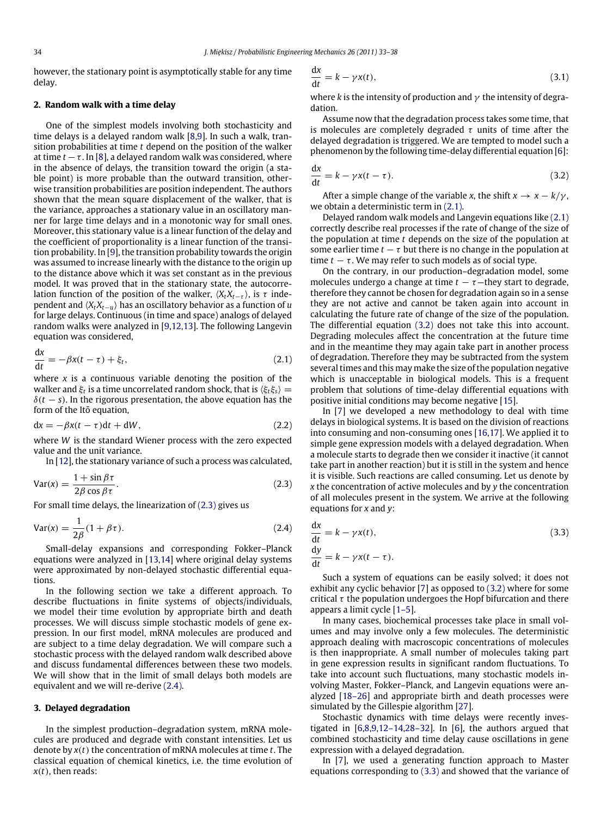however, the stationary point is asymptotically stable for any time delay.

#### **2. Random walk with a time delay**

One of the simplest models involving both stochasticity and time delays is a delayed random walk [\[8,](#page--1-3)[9\]](#page--1-4). In such a walk, transition probabilities at time *t* depend on the position of the walker at time  $t - \tau$ . In [\[8\]](#page--1-3), a delayed random walk was considered, where in the absence of delays, the transition toward the origin (a stable point) is more probable than the outward transition, otherwise transition probabilities are position independent. The authors shown that the mean square displacement of the walker, that is the variance, approaches a stationary value in an oscillatory manner for large time delays and in a monotonic way for small ones. Moreover, this stationary value is a linear function of the delay and the coefficient of proportionality is a linear function of the transition probability. In [\[9\]](#page--1-4), the transition probability towards the origin was assumed to increase linearly with the distance to the origin up to the distance above which it was set constant as in the previous model. It was proved that in the stationary state, the autocorrelation function of the position of the walker,  $\langle X_t X_{t-\tau} \rangle$ , is  $\tau$  independent and ⟨*XtXt*−*u*⟩ has an oscillatory behavior as a function of *u* for large delays. Continuous (in time and space) analogs of delayed random walks were analyzed in [\[9,](#page--1-4)[12](#page--1-7)[,13\]](#page--1-8). The following Langevin equation was considered,

$$
\frac{dx}{dt} = -\beta x(t - \tau) + \xi_t,
$$
\n(2.1)

where *x* is a continuous variable denoting the position of the walker and ξ*<sup>t</sup>* is a time uncorrelated random shock, that is ⟨ξ*t*ξ*s*⟩ =  $\delta(t - s)$ . In the rigorous presentation, the above equation has the form of the Itō equation,

$$
dx = -\beta x(t - \tau)dt + dW, \qquad (2.2)
$$

where *W* is the standard Wiener process with the zero expected value and the unit variance.

In [\[12\]](#page--1-7), the stationary variance of such a process was calculated,

$$
Var(x) = \frac{1 + \sin \beta \tau}{2\beta \cos \beta \tau}.
$$
\n(2.3)

For small time delays, the linearization of [\(2.3\)](#page-1-0) gives us

$$
Var(x) = \frac{1}{2\beta}(1 + \beta\tau). \tag{2.4}
$$

Small-delay expansions and corresponding Fokker–Planck equations were analyzed in [\[13,](#page--1-8)[14\]](#page--1-9) where original delay systems were approximated by non-delayed stochastic differential equations.

In the following section we take a different approach. To describe fluctuations in finite systems of objects/individuals, we model their time evolution by appropriate birth and death processes. We will discuss simple stochastic models of gene expression. In our first model, mRNA molecules are produced and are subject to a time delay degradation. We will compare such a stochastic process with the delayed random walk described above and discuss fundamental differences between these two models. We will show that in the limit of small delays both models are equivalent and we will re-derive [\(2.4\).](#page-1-1)

#### **3. Delayed degradation**

In the simplest production–degradation system, mRNA molecules are produced and degrade with constant intensities. Let us denote by *x*(*t*) the concentration of mRNA molecules at time *t*. The classical equation of chemical kinetics, i.e. the time evolution of  $x(t)$ , then reads:

$$
\frac{dx}{dt} = k - \gamma x(t),\tag{3.1}
$$

where *k* is the intensity of production and  $\gamma$  the intensity of degradation.

Assume now that the degradation process takes some time, that is molecules are completely degraded  $\tau$  units of time after the delayed degradation is triggered. We are tempted to model such a phenomenon by the following time-delay differential equation [\[6\]](#page--1-1):

<span id="page-1-3"></span>
$$
\frac{dx}{dt} = k - \gamma x(t - \tau). \tag{3.2}
$$

After a simple change of the variable *x*, the shift  $x \to x - k/\gamma$ , we obtain a deterministic term in [\(2.1\).](#page-1-2)

Delayed random walk models and Langevin equations like [\(2.1\)](#page-1-2) correctly describe real processes if the rate of change of the size of the population at time *t* depends on the size of the population at some earlier time  $t - \tau$  but there is no change in the population at time  $t - \tau$ . We may refer to such models as of social type.

On the contrary, in our production–degradation model, some molecules undergo a change at time  $t - \tau$  —they start to degrade, therefore they cannot be chosen for degradation again so in a sense they are not active and cannot be taken again into account in calculating the future rate of change of the size of the population. The differential equation [\(3.2\)](#page-1-3) does not take this into account. Degrading molecules affect the concentration at the future time and in the meantime they may again take part in another process of degradation. Therefore they may be subtracted from the system several times and this may make the size of the population negative which is unacceptable in biological models. This is a frequent problem that solutions of time-delay differential equations with positive initial conditions may become negative [\[15\]](#page--1-10).

<span id="page-1-2"></span>In [\[7\]](#page--1-2) we developed a new methodology to deal with time delays in biological systems. It is based on the division of reactions into consuming and non-consuming ones [\[16,](#page--1-11)[17\]](#page--1-12). We applied it to simple gene expression models with a delayed degradation. When a molecule starts to degrade then we consider it inactive (it cannot take part in another reaction) but it is still in the system and hence it is visible. Such reactions are called consuming. Let us denote by *x* the concentration of active molecules and by *y* the concentration of all molecules present in the system. We arrive at the following equations for *x* and *y*:

<span id="page-1-4"></span><span id="page-1-1"></span><span id="page-1-0"></span>
$$
\frac{dx}{dt} = k - \gamma x(t),
$$
  
\n
$$
\frac{dy}{dt} = k - \gamma x(t - \tau).
$$
\n(3.3)

Such a system of equations can be easily solved; it does not exhibit any cyclic behavior [\[7\]](#page--1-2) as opposed to [\(3.2\)](#page-1-3) where for some critical  $\tau$  the population undergoes the Hopf bifurcation and there appears a limit cycle [\[1–5\]](#page--1-0).

In many cases, biochemical processes take place in small volumes and may involve only a few molecules. The deterministic approach dealing with macroscopic concentrations of molecules is then inappropriate. A small number of molecules taking part in gene expression results in significant random fluctuations. To take into account such fluctuations, many stochastic models involving Master, Fokker–Planck, and Langevin equations were analyzed [\[18–26\]](#page--1-13) and appropriate birth and death processes were simulated by the Gillespie algorithm [\[27\]](#page--1-14).

Stochastic dynamics with time delays were recently investigated in [\[6](#page--1-1)[,8](#page--1-3)[,9,](#page--1-4)[12–14,](#page--1-7)[28–32\]](#page--1-15). In [\[6\]](#page--1-1), the authors argued that combined stochasticity and time delay cause oscillations in gene expression with a delayed degradation.

In [\[7\]](#page--1-2), we used a generating function approach to Master equations corresponding to [\(3.3\)](#page-1-4) and showed that the variance of